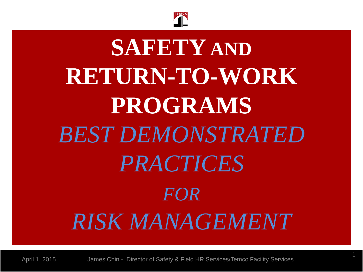

# **SAFETY AND RETURN-TO-WORK PROGRAMS**  *BEST DEMONSTRATED PRACTICES FOR RISK MANAGEMENT*

April 1, 2015 James Chin - Director of Safety & Field HR Services/Temco Facility Services

1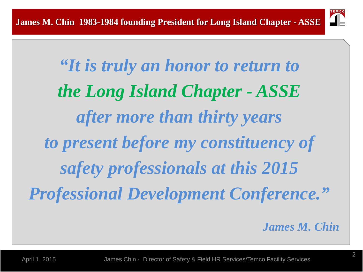

*"It is truly an honor to return to the Long Island Chapter - ASSE after more than thirty years to present before my constituency of safety professionals at this 2015 Professional Development Conference."*

*James M. Chin*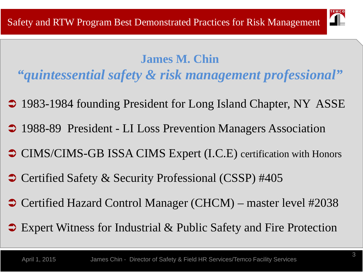

#### **James M. Chin**

*"quintessential safety & risk management professional"*

- 1983-1984 founding President for Long Island Chapter, NY ASSE
- 1988-89 President LI Loss Prevention Managers Association
- CIMS/CIMS-GB ISSA CIMS Expert (I.C.E) certification with Honors
- **Certified Safety & Security Professional (CSSP) #405**
- **Certified Hazard Control Manager (CHCM) master level #2038**
- **→ Expert Witness for Industrial & Public Safety and Fire Protection**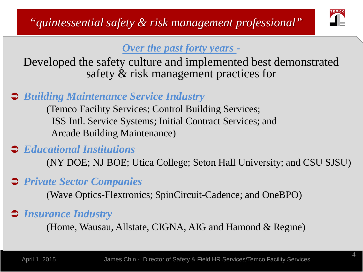

#### *Over the past forty years -*

Developed the safety culture and implemented best demonstrated safety & risk management practices for

#### *Building Maintenance Service Industry*

(Temco Facility Services; Control Building Services; ISS Intl. Service Systems; Initial Contract Services; and Arcade Building Maintenance)

#### *Educational Institutions*

(NY DOE; NJ BOE; Utica College; Seton Hall University; and CSU SJSU)

#### *Private Sector Companies*

(Wave Optics-Flextronics; SpinCircuit-Cadence; and OneBPO)

#### *Insurance Industry*

(Home, Wausau, Allstate, CIGNA, AIG and Hamond & Regine)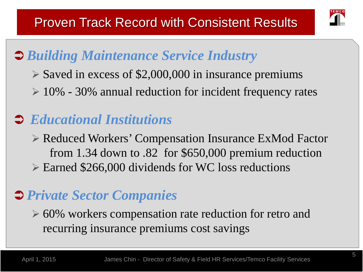

## *Building Maintenance Service Industry*

- $\triangleright$  Saved in excess of \$2,000,000 in insurance premiums
- $\geq 10\%$  30% annual reduction for incident frequency rates

### *Educational Institutions*

 Reduced Workers' Compensation Insurance ExMod Factor from 1.34 down to .82 for \$650,000 premium reduction Earned \$266,000 dividends for WC loss reductions

### *Private Sector Companies*

 $\geq 60\%$  workers compensation rate reduction for retro and recurring insurance premiums cost savings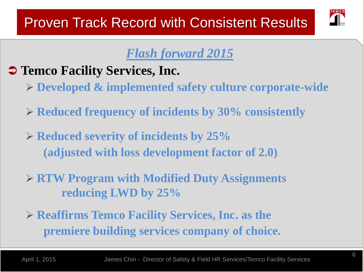

### *Flash forward 2015*

- $\supset$  **Temco Facility Services, Inc.** 
	- **Developed & implemented safety culture corporate-wide**
	- **Reduced frequency of incidents by 30% consistently**
	- **Reduced severity of incidents by 25% (adjusted with loss development factor of 2.0)**
	- **RTW Program with Modified Duty Assignments reducing LWD by 25%**
	- **Reaffirms Temco Facility Services, Inc. as the premiere building services company of choice.**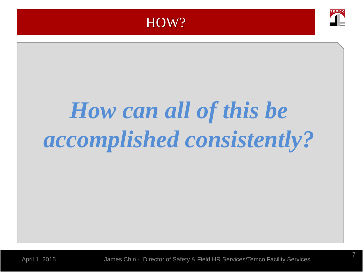

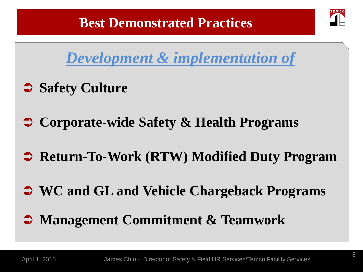



- **Safety Culture**
- **Corporate-wide Safety & Health Programs**
- **Return-To-Work (RTW) Modified Duty Program**
- **WC and GL and Vehicle Chargeback Programs**
- **Management Commitment & Teamwork**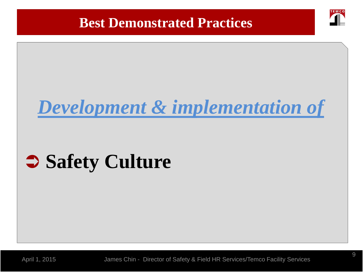#### **Best Demonstrated Practices**



## *Development & implementation of*

## **Safety Culture**

April 1, 2015 James Chin - Director of Safety & Field HR Services/Temco Facility Services

9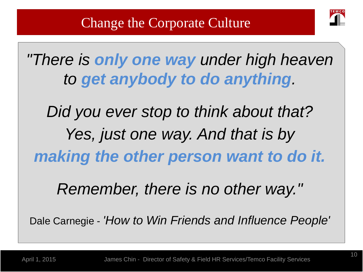

*"There is only one way under high heaven to get anybody to do anything.* 

*Did you ever stop to think about that? Yes, just one way. And that is by making the other person want to do it.* 

*Remember, there is no other way."*

Dale Carnegie - *'How to Win Friends and Influence People'*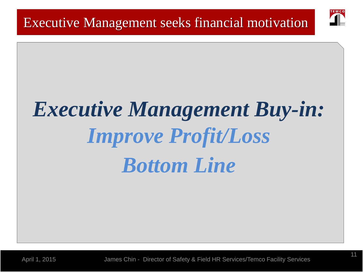

# *Executive Management Buy-in: Improve Profit/Loss Bottom Line*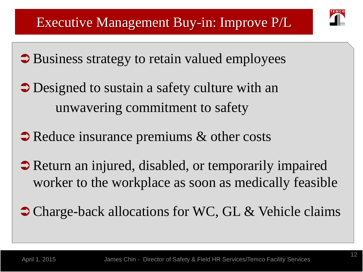

- $\supset$  Business strategy to retain valued employees
- **→** Designed to sustain a safety culture with an unwavering commitment to safety
- Reduce insurance premiums & other costs
- Return an injured, disabled, or temporarily impaired worker to the workplace as soon as medically feasible
- Charge-back allocations for WC, GL & Vehicle claims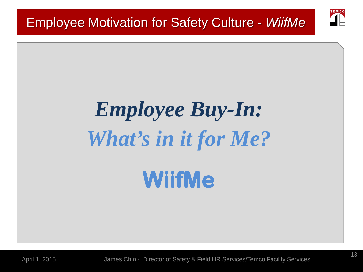

# *Employee Buy-In: What's in it for Me?* **WiifMe**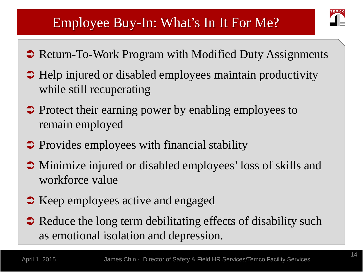### Employee Buy-In: What's In It For Me?

- Return-To-Work Program with Modified Duty Assignments
- Help injured or disabled employees maintain productivity while still recuperating
- Protect their earning power by enabling employees to remain employed
- $\supset$  Provides employees with financial stability
- Minimize injured or disabled employees' loss of skills and workforce value
- Keep employees active and engaged
- Reduce the long term debilitating effects of disability such as emotional isolation and depression.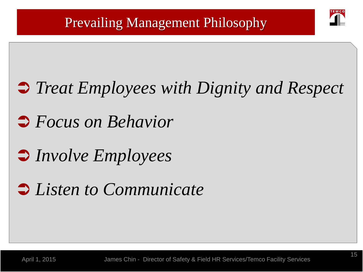

## *Treat Employees with Dignity and Respect*

## *Focus on Behavior*

## *Involve Employees*

## *Listen to Communicate*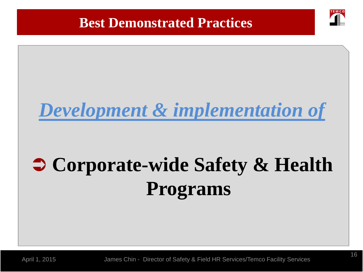#### **Best Demonstrated Practices**

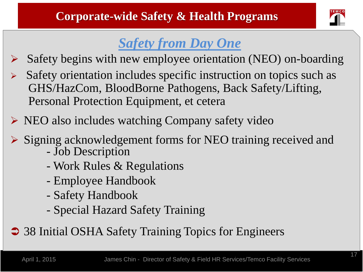

## *Safety from Day One*

- Safety begins with new employee orientation (NEO) on-boarding
- $\triangleright$  Safety orientation includes specific instruction on topics such as GHS/HazCom, BloodBorne Pathogens, Back Safety/Lifting, Personal Protection Equipment, et cetera
- $\triangleright$  NEO also includes watching Company safety video
- Signing acknowledgement forms for NEO training received and Job Description
	-
	- Work Rules & Regulations
	- Employee Handbook
	- Safety Handbook
	- Special Hazard Safety Training

**→ 38 Initial OSHA Safety Training Topics for Engineers**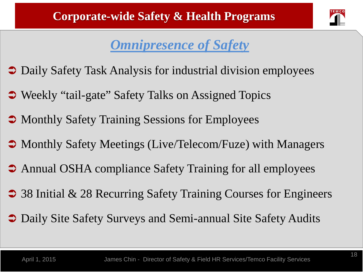

### *Omnipresence of Safety*

- $\supset$  Daily Safety Task Analysis for industrial division employees
- **→ Weekly "tail-gate" Safety Talks on Assigned Topics**
- Monthly Safety Training Sessions for Employees
- Monthly Safety Meetings (Live/Telecom/Fuze) with Managers
- Annual OSHA compliance Safety Training for all employees
- 38 Initial & 28 Recurring Safety Training Courses for Engineers
- Daily Site Safety Surveys and Semi-annual Site Safety Audits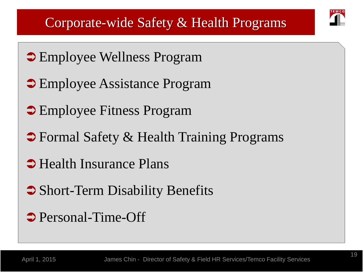- $\supset$  Employee Wellness Program
- Employee Assistance Program
- **Employee Fitness Program**
- **→ Formal Safety & Health Training Programs**
- Health Insurance Plans
- Short-Term Disability Benefits
- **→ Personal-Time-Off**

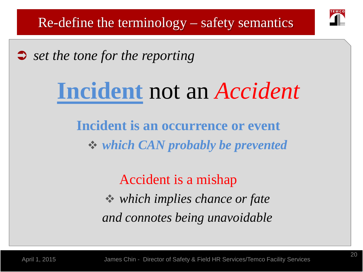

Re-define the terminology – safety semantics

*set the tone for the reporting* 

## **Incident** not an *Accident*

**Incident is an occurrence or event** *which CAN probably be prevented*

> Accident is a mishap *which implies chance or fate and connotes being unavoidable*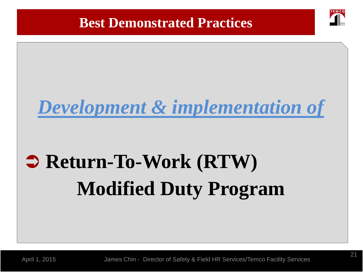#### **Best Demonstrated Practices**



## *Development & implementation of*

## **⇒ Return-To-Work (RTW) Modified Duty Program**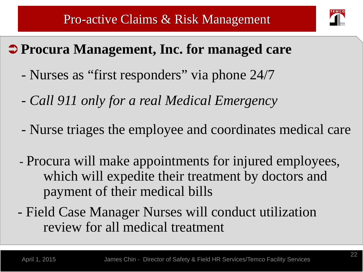

### **Procura Management, Inc. for managed care**

- Nurses as "first responders" via phone 24/7
- *Call 911 only for a real Medical Emergency*
- Nurse triages the employee and coordinates medical care
- Procura will make appointments for injured employees, which will expedite their treatment by doctors and payment of their medical bills
- Field Case Manager Nurses will conduct utilization review for all medical treatment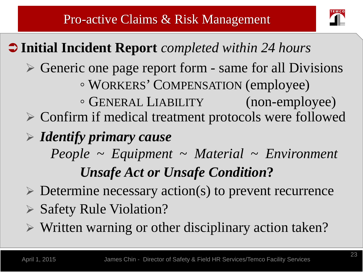

### **Initial Incident Report** *completed within 24 hours*

- $\triangleright$  Generic one page report form same for all Divisions ◦ WORKERS' COMPENSATION (employee)
	- GENERAL LIABILITY (non-employee)
- Confirm if medical treatment protocols were followed
- *Identify primary cause*
	- *People* ~ *Equipment* ~ *Material* ~ *Environment Unsafe Act or Unsafe Condition***?**
- $\triangleright$  Determine necessary action(s) to prevent recurrence
- ▶ Safety Rule Violation?
- $\triangleright$  Written warning or other disciplinary action taken?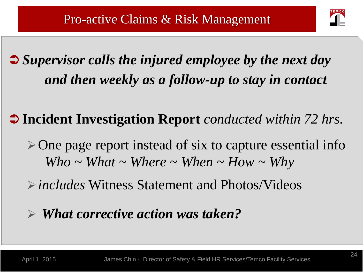

## *Supervisor calls the injured employee by the next day and then weekly as a follow-up to stay in contact*

### **Incident Investigation Report** *conducted within 72 hrs.*

- $\triangleright$  One page report instead of six to capture essential info *Who ~ What ~ Where ~ When ~ How ~ Why*
- *includes* Witness Statement and Photos/Videos

### *What corrective action was taken?*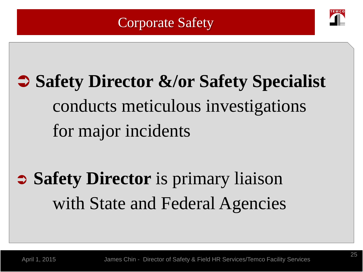### Corporate Safety



## **Safety Director &/or Safety Specialist** conducts meticulous investigations for major incidents

## **Safety Director** is primary liaison with State and Federal Agencies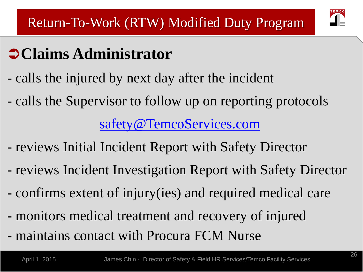

## **Claims Administrator**

- calls the injured by next day after the incident
- calls the Supervisor to follow up on reporting protocols

### [safety@TemcoServices.com](mailto:safety@TemcoServices.com)

- reviews Initial Incident Report with Safety Director
- reviews Incident Investigation Report with Safety Director
- confirms extent of injury(ies) and required medical care
- monitors medical treatment and recovery of injured
- maintains contact with Procura FCM Nurse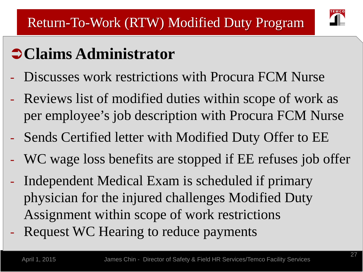## **Claims Administrator**

- Discusses work restrictions with Procura FCM Nurse
- Reviews list of modified duties within scope of work as per employee's job description with Procura FCM Nurse
- Sends Certified letter with Modified Duty Offer to EE
- WC wage loss benefits are stopped if EE refuses job offer
- Independent Medical Exam is scheduled if primary physician for the injured challenges Modified Duty Assignment within scope of work restrictions - Request WC Hearing to reduce payments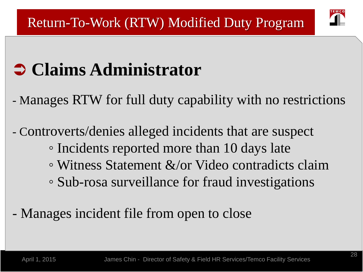

## **Claims Administrator**

- Manages RTW for full duty capability with no restrictions
- Controverts/denies alleged incidents that are suspect ◦ Incidents reported more than 10 days late ◦ Witness Statement &/or Video contradicts claim ◦ Sub-rosa surveillance for fraud investigations
- Manages incident file from open to close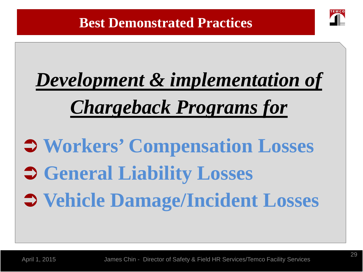

# *Development & implementation of Chargeback Programs for*

 **Workers' Compensation Losses General Liability Losses Vehicle Damage/Incident Losses**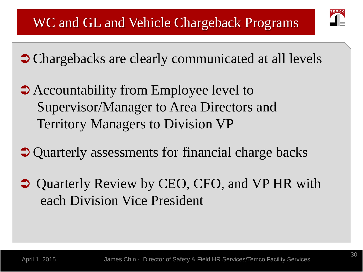

- Chargebacks are clearly communicated at all levels
- Accountability from Employee level to Supervisor/Manager to Area Directors and Territory Managers to Division VP
- Quarterly assessments for financial charge backs
- **→ Quarterly Review by CEO, CFO, and VP HR with** each Division Vice President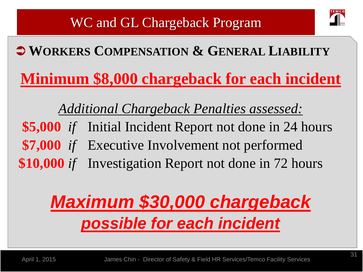## **WORKERS COMPENSATION & GENERAL LIABILITY**

**Minimum \$8,000 chargeback for each incident**

*Additional Chargeback Penalties assessed:* **\$5,000** *if* Initial Incident Report not done in 24 hours **\$7,000** *if* Executive Involvement not performed **\$10,000** *if* Investigation Report not done in 72 hours

## *Maximum \$30,000 chargeback possible for each incident*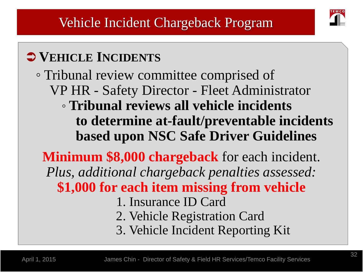

## **VEHICLE INCIDENTS**

◦ Tribunal review committee comprised of VP HR - Safety Director - Fleet Administrator ◦ **Tribunal reviews all vehicle incidents to determine at-fault/preventable incidents based upon NSC Safe Driver Guidelines**

**Minimum \$8,000 chargeback** for each incident. *Plus, additional chargeback penalties assessed:* **\$1,000 for each item missing from vehicle** 1. Insurance ID Card 2. Vehicle Registration Card 3. Vehicle Incident Reporting Kit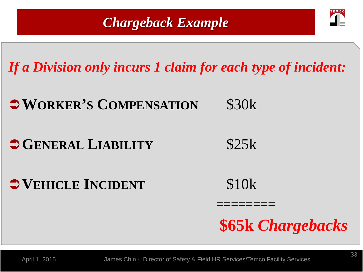### *Chargeback Example*



*If a Division only incurs 1 claim for each type of incident:*

**WORKER'S COMPENSATION** \$30k

## **GENERAL LIABILITY** \$25k

 $\bullet$  **VEHICLE INCIDENT** \$10k

**\$65k** *Chargebacks*

April 1, 2015 James Chin - Director of Safety & Field HR Services/Temco Facility Services

========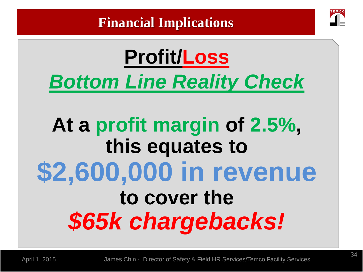

## **Profit/Loss** *Bottom Line Reality Check*

## **At a profit margin of 2.5%, this equates to \$2,600,000 in revenue to cover the**  *\$65k chargebacks!*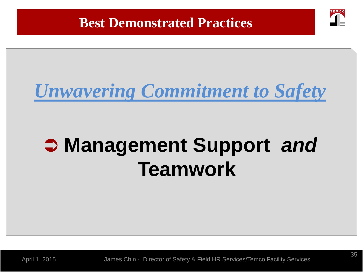

## *Unwavering Commitment to Safety*

## **Management Support** *and* **Teamwork**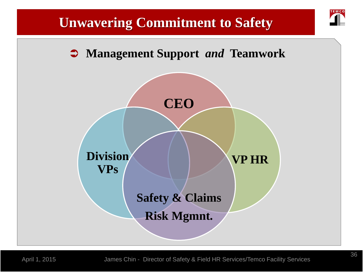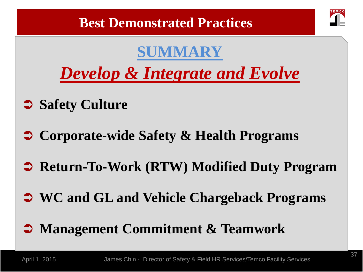

## **SUMMARY**

*Develop & Integrate and Evolve*

- **Safety Culture**
- **Corporate-wide Safety & Health Programs**
- **Return-To-Work (RTW) Modified Duty Program**
- **WC and GL and Vehicle Chargeback Programs**
- **Management Commitment & Teamwork**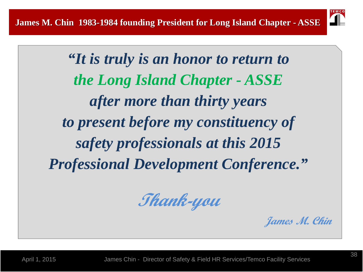

*"It is truly is an honor to return to the Long Island Chapter - ASSE after more than thirty years to present before my constituency of safety professionals at this 2015 Professional Development Conference."*

**Thank-you**

**James M. Chin**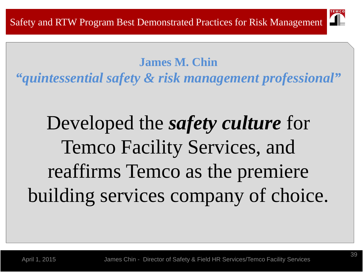

#### **James M. Chin**

*"quintessential safety & risk management professional"*

## Developed the *safety culture* for Temco Facility Services, and reaffirms Temco as the premiere building services company of choice.